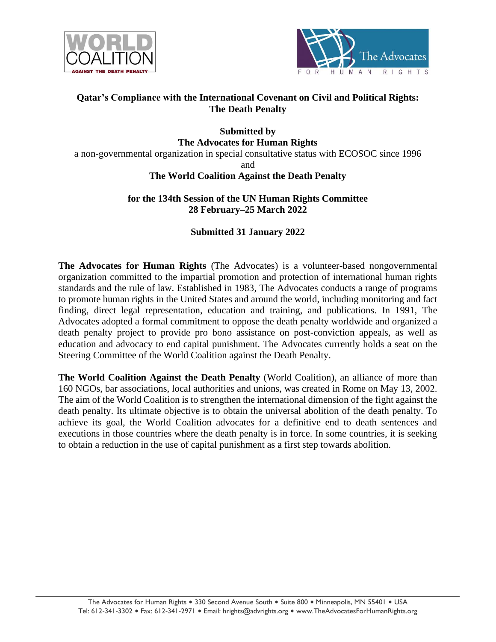



### **Qatar's Compliance with the International Covenant on Civil and Political Rights: The Death Penalty**

## **Submitted by The Advocates for Human Rights**

a non-governmental organization in special consultative status with ECOSOC since 1996

and

## **The World Coalition Against the Death Penalty**

## **for the 134th Session of the UN Human Rights Committee 28 February–25 March 2022**

# **Submitted 31 January 2022**

**The Advocates for Human Rights** (The Advocates) is a volunteer-based nongovernmental organization committed to the impartial promotion and protection of international human rights standards and the rule of law. Established in 1983, The Advocates conducts a range of programs to promote human rights in the United States and around the world, including monitoring and fact finding, direct legal representation, education and training, and publications. In 1991, The Advocates adopted a formal commitment to oppose the death penalty worldwide and organized a death penalty project to provide pro bono assistance on post-conviction appeals, as well as education and advocacy to end capital punishment. The Advocates currently holds a seat on the Steering Committee of the World Coalition against the Death Penalty.

**The World Coalition Against the Death Penalty** (World Coalition), an alliance of more than 160 NGOs, bar associations, local authorities and unions, was created in Rome on May 13, 2002. The aim of the World Coalition is to strengthen the international dimension of the fight against the death penalty. Its ultimate objective is to obtain the universal abolition of the death penalty. To achieve its goal, the World Coalition advocates for a definitive end to death sentences and executions in those countries where the death penalty is in force. In some countries, it is seeking to obtain a reduction in the use of capital punishment as a first step towards abolition.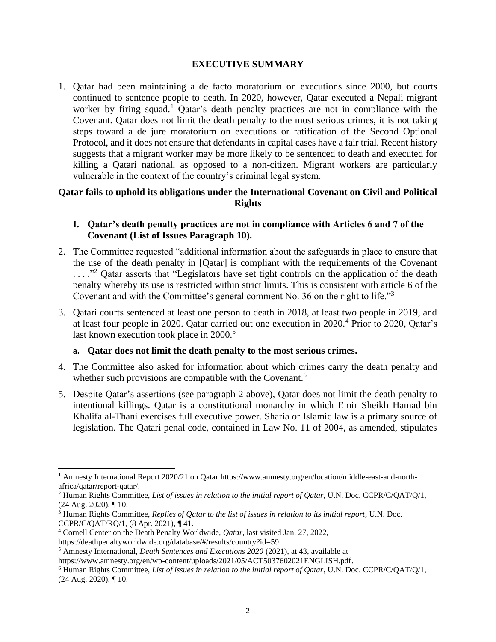#### **EXECUTIVE SUMMARY**

1. Qatar had been maintaining a de facto moratorium on executions since 2000, but courts continued to sentence people to death. In 2020, however, Qatar executed a Nepali migrant worker by firing squad.<sup>1</sup> Oatar's death penalty practices are not in compliance with the Covenant. Qatar does not limit the death penalty to the most serious crimes, it is not taking steps toward a de jure moratorium on executions or ratification of the Second Optional Protocol, and it does not ensure that defendants in capital cases have a fair trial. Recent history suggests that a migrant worker may be more likely to be sentenced to death and executed for killing a Qatari national, as opposed to a non-citizen. Migrant workers are particularly vulnerable in the context of the country's criminal legal system.

#### **Qatar fails to uphold its obligations under the International Covenant on Civil and Political Rights**

#### **I. Qatar's death penalty practices are not in compliance with Articles 6 and 7 of the Covenant (List of Issues Paragraph 10).**

- <span id="page-1-0"></span>2. The Committee requested "additional information about the safeguards in place to ensure that the use of the death penalty in [Qatar] is compliant with the requirements of the Covenant ...."<sup>2</sup> Qatar asserts that "Legislators have set tight controls on the application of the death penalty whereby its use is restricted within strict limits. This is consistent with article 6 of the Covenant and with the Committee's general comment No. 36 on the right to life."<sup>3</sup>
- 3. Qatari courts sentenced at least one person to death in 2018, at least two people in 2019, and at least four people in 2020. Qatar carried out one execution in 2020.<sup>4</sup> Prior to 2020, Qatar's last known execution took place in 2000.<sup>5</sup>

#### **a. Qatar does not limit the death penalty to the most serious crimes.**

- 4. The Committee also asked for information about which crimes carry the death penalty and whether such provisions are compatible with the Covenant.<sup>6</sup>
- 5. Despite Qatar's assertions (see paragraph [2](#page-1-0) above), Qatar does not limit the death penalty to intentional killings. Qatar is a constitutional monarchy in which Emir Sheikh Hamad bin Khalifa al-Thani exercises full executive power. Sharia or Islamic law is a primary source of legislation. The Qatari penal code, contained in Law No. 11 of 2004, as amended, stipulates

<sup>1</sup> Amnesty International Report 2020/21 on Qatar https://www.amnesty.org/en/location/middle-east-and-northafrica/qatar/report-qatar/.

<sup>2</sup> Human Rights Committee, *List of issues in relation to the initial report of Qatar*, U.N. Doc. CCPR/C/QAT/Q/1, (24 Aug. 2020), ¶ 10.

<sup>3</sup> Human Rights Committee, *Replies of Qatar to the list of issues in relation to its initial report*, U.N. Doc. CCPR/C/QAT/RQ/1, (8 Apr. 2021), ¶ 41.

<sup>4</sup> Cornell Center on the Death Penalty Worldwide, *Qatar*, last visited Jan. 27, 2022,

https://deathpenaltyworldwide.org/database/#/results/country?id=59.

<sup>5</sup> Amnesty International, *Death Sentences and Executions 2020* (2021), at 43, available at

https://www.amnesty.org/en/wp-content/uploads/2021/05/ACT5037602021ENGLISH.pdf.

<sup>6</sup> Human Rights Committee, *List of issues in relation to the initial report of Qatar*, U.N. Doc. CCPR/C/QAT/Q/1, (24 Aug. 2020), ¶ 10.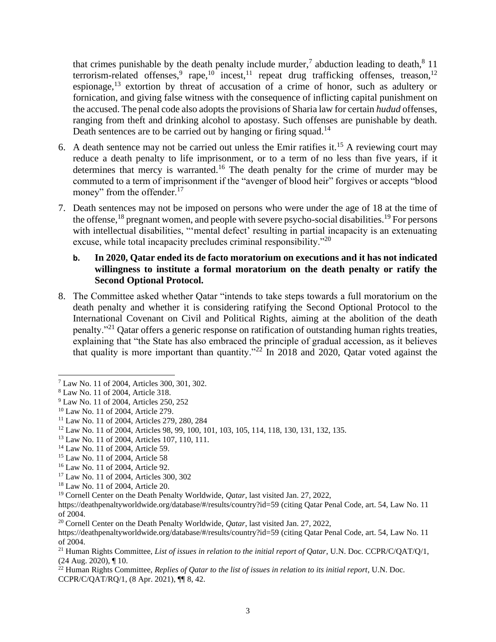that crimes punishable by the death penalty include murder,<sup>7</sup> abduction leading to death, $8\ 11$ terrorism-related offenses,  $^{9}$  rape,  $^{10}$  incest,  $^{11}$  repeat drug trafficking offenses, treason,  $^{12}$ espionage,  $13$  extortion by threat of accusation of a crime of honor, such as adultery or fornication, and giving false witness with the consequence of inflicting capital punishment on the accused. The penal code also adopts the provisions of Sharia law for certain *hudud* offenses, ranging from theft and drinking alcohol to apostasy. Such offenses are punishable by death. Death sentences are to be carried out by hanging or firing squad.<sup>14</sup>

- 6. A death sentence may not be carried out unless the Emir ratifies it. <sup>15</sup> A reviewing court may reduce a death penalty to life imprisonment, or to a term of no less than five years, if it determines that mercy is warranted.<sup>16</sup> The death penalty for the crime of murder may be commuted to a term of imprisonment if the "avenger of blood heir" forgives or accepts "blood money" from the offender.<sup>17</sup>
- 7. Death sentences may not be imposed on persons who were under the age of 18 at the time of the offense,  $^{18}$  pregnant women, and people with severe psycho-social disabilities.<sup>19</sup> For persons with intellectual disabilities, "'mental defect' resulting in partial incapacity is an extenuating excuse, while total incapacity precludes criminal responsibility."<sup>20</sup>

#### **b. In 2020, Qatar ended its de facto moratorium on executions and it has not indicated willingness to institute a formal moratorium on the death penalty or ratify the Second Optional Protocol.**

8. The Committee asked whether Qatar "intends to take steps towards a full moratorium on the death penalty and whether it is considering ratifying the Second Optional Protocol to the International Covenant on Civil and Political Rights, aiming at the abolition of the death penalty."<sup>21</sup> Qatar offers a generic response on ratification of outstanding human rights treaties, explaining that "the State has also embraced the principle of gradual accession, as it believes that quality is more important than quantity."<sup>22</sup> In 2018 and 2020, Qatar voted against the

<sup>7</sup> Law No. 11 of 2004, Articles 300, 301, 302.

<sup>8</sup> Law No. 11 of 2004, Article 318.

<sup>9</sup> Law No. 11 of 2004, Articles 250, 252

<sup>10</sup> Law No. 11 of 2004, Article 279.

<sup>11</sup> Law No. 11 of 2004, Articles 279, 280, 284

<sup>12</sup> Law No. 11 of 2004, Articles 98, 99, 100, 101, 103, 105, 114, 118, 130, 131, 132, 135.

<sup>13</sup> Law No. 11 of 2004, Articles 107, 110, 111.

<sup>14</sup> Law No. 11 of 2004, Article 59.

<sup>15</sup> Law No. 11 of 2004, Article 58

<sup>16</sup> Law No. 11 of 2004, Article 92.

<sup>17</sup> Law No. 11 of 2004, Articles 300, 302

<sup>18</sup> Law No. 11 of 2004, Article 20.

<sup>19</sup> Cornell Center on the Death Penalty Worldwide, *Qatar*, last visited Jan. 27, 2022,

https://deathpenaltyworldwide.org/database/#/results/country?id=59 (citing Qatar Penal Code, art. 54, Law No. 11 of 2004.

<sup>20</sup> Cornell Center on the Death Penalty Worldwide, *Qatar*, last visited Jan. 27, 2022,

https://deathpenaltyworldwide.org/database/#/results/country?id=59 (citing Qatar Penal Code, art. 54, Law No. 11 of 2004.

<sup>21</sup> Human Rights Committee, *List of issues in relation to the initial report of Qatar*, U.N. Doc. CCPR/C/QAT/Q/1, (24 Aug. 2020), ¶ 10.

<sup>22</sup> Human Rights Committee, *Replies of Qatar to the list of issues in relation to its initial report*, U.N. Doc. CCPR/C/QAT/RQ/1, (8 Apr. 2021), ¶¶ 8, 42.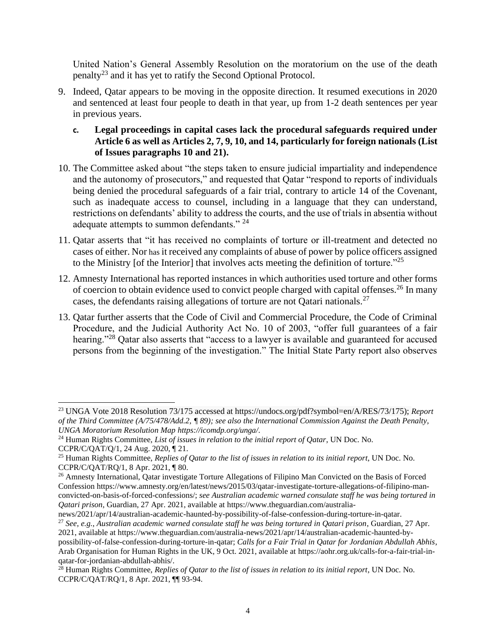United Nation's General Assembly Resolution on the moratorium on the use of the death penalty<sup>23</sup> and it has yet to ratify the Second Optional Protocol.

- 9. Indeed, Qatar appears to be moving in the opposite direction. It resumed executions in 2020 and sentenced at least four people to death in that year, up from 1-2 death sentences per year in previous years.
	- **c. Legal proceedings in capital cases lack the procedural safeguards required under Article 6 as well as Articles 2, 7, 9, 10, and 14, particularly for foreign nationals (List of Issues paragraphs 10 and 21).**
- 10. The Committee asked about "the steps taken to ensure judicial impartiality and independence and the autonomy of prosecutors," and requested that Qatar "respond to reports of individuals being denied the procedural safeguards of a fair trial, contrary to article 14 of the Covenant, such as inadequate access to counsel, including in a language that they can understand, restrictions on defendants' ability to address the courts, and the use of trials in absentia without adequate attempts to summon defendants." <sup>24</sup>
- 11. Qatar asserts that "it has received no complaints of torture or ill-treatment and detected no cases of either. Nor has it received any complaints of abuse of power by police officers assigned to the Ministry [of the Interior] that involves acts meeting the definition of torture.<sup> $25$ </sup>
- 12. Amnesty International has reported instances in which authorities used torture and other forms of coercion to obtain evidence used to convict people charged with capital offenses.<sup>26</sup> In many cases, the defendants raising allegations of torture are not Qatari nationals.<sup>27</sup>
- 13. Qatar further asserts that the Code of Civil and Commercial Procedure, the Code of Criminal Procedure, and the Judicial Authority Act No. 10 of 2003, "offer full guarantees of a fair hearing."<sup>28</sup> Oatar also asserts that "access to a lawyer is available and guaranteed for accused persons from the beginning of the investigation." The Initial State Party report also observes

<sup>23</sup> UNGA Vote 2018 Resolution 73/175 accessed at https://undocs.org/pdf?symbol=en/A/RES/73/175); *Report of the Third Committee (A/75/478/Add.2, ¶ 89); see also the International Commission Against the Death Penalty, UNGA Moratorium Resolution Map https://icomdp.org/unga/*.

<sup>24</sup> Human Rights Committee, *List of issues in relation to the initial report of Qatar*, UN Doc. No. CCPR/C/QAT/Q/1, 24 Aug. 2020, ¶ 21.

<sup>25</sup> Human Rights Committee, *Replies of Qatar to the list of issues in relation to its initial report*, UN Doc. No. CCPR/C/QAT/RQ/1, 8 Apr. 2021, ¶ 80.

<sup>&</sup>lt;sup>26</sup> Amnesty International, Qatar investigate Torture Allegations of Filipino Man Convicted on the Basis of Forced Confession https://www.amnesty.org/en/latest/news/2015/03/qatar-investigate-torture-allegations-of-filipino-manconvicted-on-basis-of-forced-confessions/; *see Australian academic warned consulate staff he was being tortured in Qatari prison*, Guardian, 27 Apr. 2021, available at https://www.theguardian.com/australia-

news/2021/apr/14/australian-academic-haunted-by-possibility-of-false-confession-during-torture-in-qatar. <sup>27</sup> *See, e.g.*, *Australian academic warned consulate staff he was being tortured in Qatari prison*, Guardian, 27 Apr.

<sup>2021,</sup> available at https://www.theguardian.com/australia-news/2021/apr/14/australian-academic-haunted-bypossibility-of-false-confession-during-torture-in-qatar; *Calls for a Fair Trial in Qatar for Jordanian Abdullah Abhis*, Arab Organisation for Human Rights in the UK, 9 Oct. 2021, available at https://aohr.org.uk/calls-for-a-fair-trial-inqatar-for-jordanian-abdullah-abhis/.

<sup>28</sup> Human Rights Committee, *Replies of Qatar to the list of issues in relation to its initial report*, UN Doc. No. CCPR/C/QAT/RQ/1, 8 Apr. 2021, ¶¶ 93-94.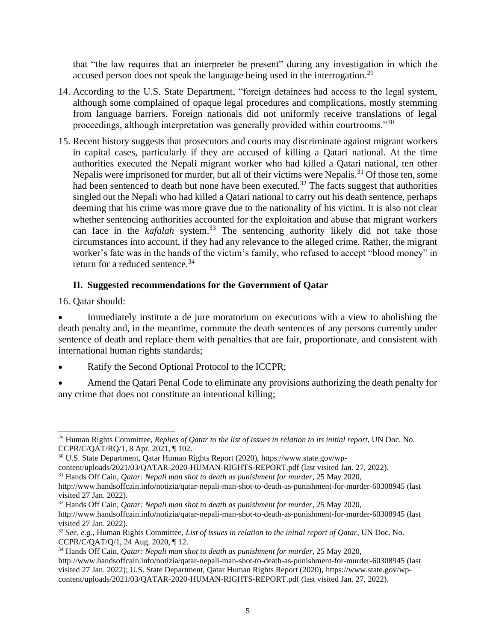that "the law requires that an interpreter be present" during any investigation in which the accused person does not speak the language being used in the interrogation.<sup>29</sup>

- 14. According to the U.S. State Department, "foreign detainees had access to the legal system, although some complained of opaque legal procedures and complications, mostly stemming from language barriers. Foreign nationals did not uniformly receive translations of legal proceedings, although interpretation was generally provided within courtrooms."<sup>30</sup>
- 15. Recent history suggests that prosecutors and courts may discriminate against migrant workers in capital cases, particularly if they are accused of killing a Qatari national. At the time authorities executed the Nepali migrant worker who had killed a Qatari national, ten other Nepalis were imprisoned for murder, but all of their victims were Nepalis.<sup>31</sup> Of those ten, some had been sentenced to death but none have been executed.<sup>32</sup> The facts suggest that authorities singled out the Nepali who had killed a Qatari national to carry out his death sentence, perhaps deeming that his crime was more grave due to the nationality of his victim. It is also not clear whether sentencing authorities accounted for the exploitation and abuse that migrant workers can face in the *kafalah* system.<sup>33</sup> The sentencing authority likely did not take those circumstances into account, if they had any relevance to the alleged crime. Rather, the migrant worker's fate was in the hands of the victim's family, who refused to accept "blood money" in return for a reduced sentence.<sup>34</sup>

## **II. Suggested recommendations for the Government of Qatar**

16. Qatar should:

Immediately institute a de jure moratorium on executions with a view to abolishing the death penalty and, in the meantime, commute the death sentences of any persons currently under sentence of death and replace them with penalties that are fair, proportionate, and consistent with international human rights standards;

- Ratify the Second Optional Protocol to the ICCPR;
- Amend the Qatari Penal Code to eliminate any provisions authorizing the death penalty for any crime that does not constitute an intentional killing;

<sup>29</sup> Human Rights Committee, *Replies of Qatar to the list of issues in relation to its initial report*, UN Doc. No. CCPR/C/QAT/RQ/1, 8 Apr. 2021, ¶ 102.

<sup>30</sup> U.S. State Department, Qatar Human Rights Report (2020), https://www.state.gov/wp-

content/uploads/2021/03/QATAR-2020-HUMAN-RIGHTS-REPORT.pdf (last visited Jan. 27, 2022).

<sup>31</sup> Hands Off Cain, *Qatar: Nepali man shot to death as punishment for murder*, 25 May 2020,

http://www.handsoffcain.info/notizia/qatar-nepali-man-shot-to-death-as-punishment-for-murder-60308945 (last visited 27 Jan. 2022).

<sup>32</sup> Hands Off Cain, *Qatar: Nepali man shot to death as punishment for murder*, 25 May 2020, http://www.handsoffcain.info/notizia/qatar-nepali-man-shot-to-death-as-punishment-for-murder-60308945 (last visited 27 Jan. 2022).

<sup>33</sup> *See, e.g.*, Human Rights Committee, *List of issues in relation to the initial report of Qatar*, UN Doc. No. CCPR/C/QAT/Q/1, 24 Aug. 2020, ¶ 12.

<sup>34</sup> Hands Off Cain, *Qatar: Nepali man shot to death as punishment for murder*, 25 May 2020,

http://www.handsoffcain.info/notizia/qatar-nepali-man-shot-to-death-as-punishment-for-murder-60308945 (last visited 27 Jan. 2022); U.S. State Department, Qatar Human Rights Report (2020), https://www.state.gov/wpcontent/uploads/2021/03/QATAR-2020-HUMAN-RIGHTS-REPORT.pdf (last visited Jan. 27, 2022).